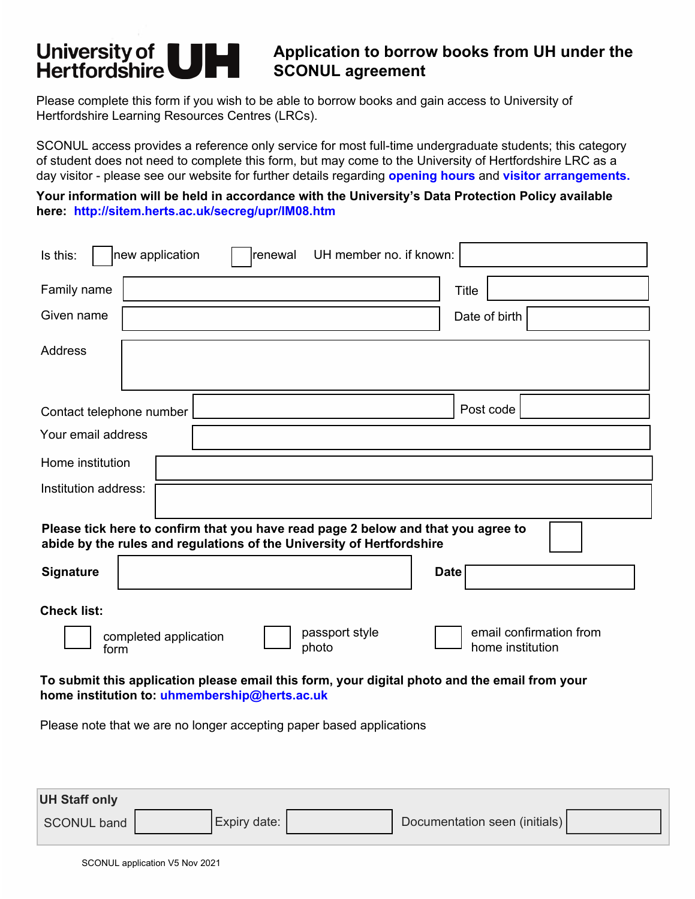# **University of |**<br>Hertfordshire **Here** *Application to borrow books from UH under the* **<br>
<b>UH APPLICATE APPROXIMATE SCONUL agreement**

Please complete this form if you wish to be able to borrow books and gain access to University of Hertfordshire Learning Resources Centres (LRCs).

SCONUL access provides a reference only service for most full-time undergraduate students; this category of student does not need to complete this form, but may come to the University of Hertfordshire LRC as a day visitor - please see our website for further details regarding **[opening hours](https://www.herts.ac.uk/life/learning-facilities/lrcs/service-hours)** and **[visitor arrangements](https://www.herts.ac.uk/life/learning-facilities/lrcs/visitors).**

**Your information will be held in accordance with the University's Data Protection Policy available here:<http://sitem.herts.ac.uk/secreg/upr/IM08.htm>**

| new application<br>renewal<br>UH member no. if known:<br>Is this:                                                                                          |                                             |  |  |  |
|------------------------------------------------------------------------------------------------------------------------------------------------------------|---------------------------------------------|--|--|--|
| Family name                                                                                                                                                | <b>Title</b>                                |  |  |  |
| Given name                                                                                                                                                 | Date of birth                               |  |  |  |
| <b>Address</b>                                                                                                                                             |                                             |  |  |  |
| Contact telephone number                                                                                                                                   | Post code                                   |  |  |  |
| Your email address                                                                                                                                         |                                             |  |  |  |
| Home institution                                                                                                                                           |                                             |  |  |  |
| Institution address:                                                                                                                                       |                                             |  |  |  |
| Please tick here to confirm that you have read page 2 below and that you agree to<br>abide by the rules and regulations of the University of Hertfordshire |                                             |  |  |  |
| Signature                                                                                                                                                  | <b>Date</b>                                 |  |  |  |
| <b>Check list:</b>                                                                                                                                         |                                             |  |  |  |
| passport style<br>completed application<br>photo<br>form                                                                                                   | email confirmation from<br>home institution |  |  |  |
| To submit this application please email this form, your digital photo and the email from your<br>home institution to: uhmembership@herts.ac.uk             |                                             |  |  |  |
| Please note that we are no longer accepting paper based applications                                                                                       |                                             |  |  |  |

| <b>UH Staff only</b> |                      |                               |  |
|----------------------|----------------------|-------------------------------|--|
| <b>SCONUL band</b>   | <b>LExpiry date:</b> | Documentation seen (initials) |  |